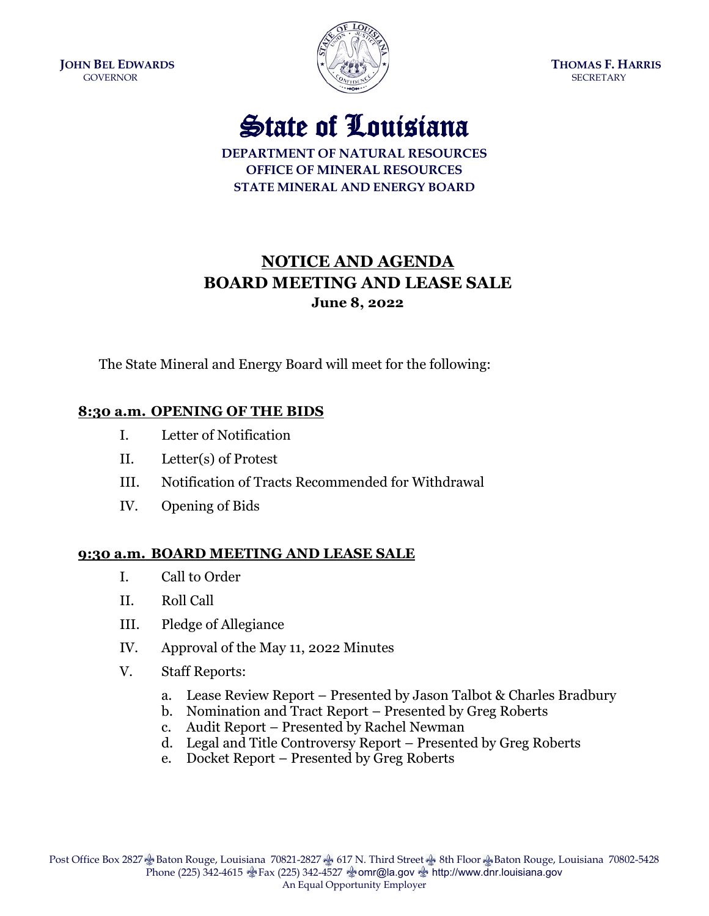**JOHN BEL EDWARDS THOMAS F. HARRIS** GOVERNOR SECRETARY SECRETARY



## State of Louisiana

**DEPARTMENT OF NATURAL RESOURCESOFFICE OF MINERAL RESOURCESSTATE MINERAL AND ENERGY BOARD**

## **NOTICE AND AGENDA BOARD MEETING AND LEASE SALE June 8, 2022**

The State Mineral and Energy Board will meet for the following:

## **8:30 a.m. OPENING OF THE BIDS**

- I. Letter of Notification
- II. Letter(s) of Protest
- III. Notification of Tracts Recommended for Withdrawal
- IV. Opening of Bids

## **9:30 a.m. BOARD MEETING AND LEASE SALE**

- I. Call to Order
- II. Roll Call
- III. Pledge of Allegiance
- IV. Approval of the May 11, 2022 Minutes
- V. Staff Reports:
	- a. Lease Review Report Presented by Jason Talbot & Charles Bradbury
	- b. Nomination and Tract Report Presented by Greg Roberts
	- c. Audit Report Presented by Rachel Newman
	- d. Legal and Title Controversy Report Presented by Greg Roberts
	- e. Docket Report Presented by Greg Roberts